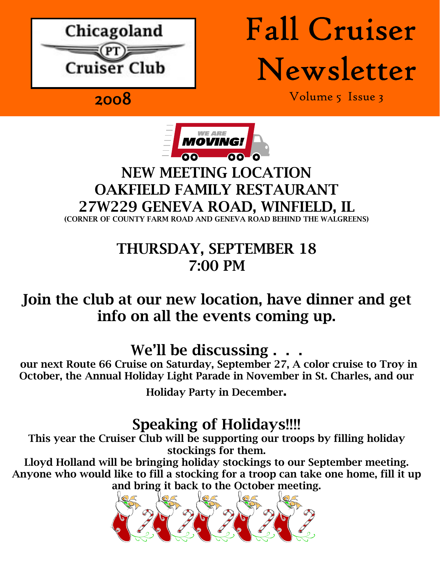

# Fall Cruiser Newsletter

2008 Volume 5 Issue 3



#### NEW MEETING LOCATION OAKFIELD FAMILY RESTAURANT 27W229 GENEVA ROAD, WINFIELD, IL (CORNER OF COUNTY FARM ROAD AND GENEVA ROAD BEHIND THE WALGREENS)

## THURSDAY, SEPTEMBER 18 7:00 PM

## Join the club at our new location, have dinner and get info on all the events coming up.

## We'll be discussing.

our next Route 66 Cruise on Saturday, September 27, A color cruise to Troy in October, the Annual Holiday Light Parade in November in St. Charles, and our

Holiday Party in December.

### Speaking of Holidays!!!!

This year the Cruiser Club will be supporting our troops by filling holiday stockings for them.

Lloyd Holland will be bringing holiday stockings to our September meeting. Anyone who would like to fill a stocking for a troop can take one home, fill it up and bring it back to the October meeting.

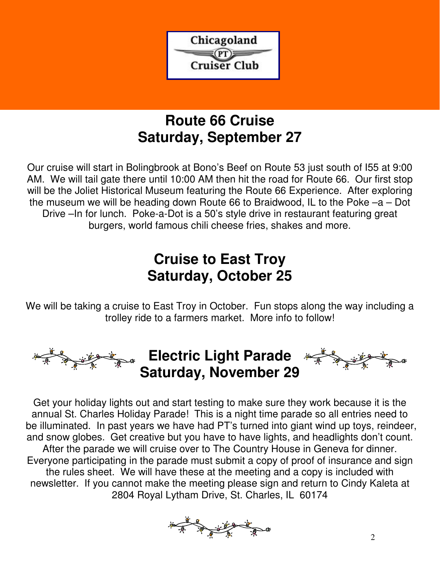

#### **Route 66 Cruise Saturday, September 27**

Our cruise will start in Bolingbrook at Bono's Beef on Route 53 just south of I55 at 9:00 AM. We will tail gate there until 10:00 AM then hit the road for Route 66. Our first stop will be the Joliet Historical Museum featuring the Route 66 Experience. After exploring the museum we will be heading down Route 66 to Braidwood, IL to the Poke –a – Dot Drive –In for lunch. Poke-a-Dot is a 50's style drive in restaurant featuring great burgers, world famous chili cheese fries, shakes and more.

### **Cruise to East Troy Saturday, October 25**

We will be taking a cruise to East Troy in October. Fun stops along the way including a trolley ride to a farmers market. More info to follow!



Get your holiday lights out and start testing to make sure they work because it is the annual St. Charles Holiday Parade! This is a night time parade so all entries need to be illuminated. In past years we have had PT's turned into giant wind up toys, reindeer, and snow globes. Get creative but you have to have lights, and headlights don't count. After the parade we will cruise over to The Country House in Geneva for dinner. Everyone participating in the parade must submit a copy of proof of insurance and sign the rules sheet. We will have these at the meeting and a copy is included with newsletter. If you cannot make the meeting please sign and return to Cindy Kaleta at 2804 Royal Lytham Drive, St. Charles, IL 60174